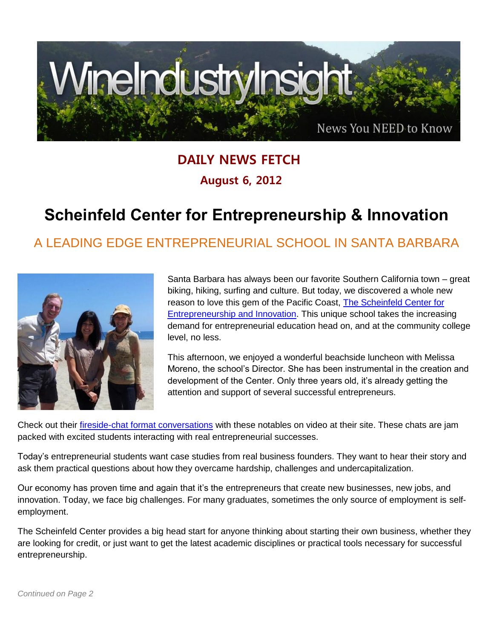

## **DAILY NEWS FETCH August 6, 2012**

## **Scheinfeld Center for Entrepreneurship & Innovation**

## A LEADING EDGE ENTREPRENEURIAL SCHOOL IN SANTA BARBARA



Santa Barbara has always been our favorite Southern California town – great biking, hiking, surfing and culture. But today, we discovered a whole new reason to love this gem of the Pacific Coast, [The Scheinfeld Center for](http://scheinfeld.sbcc.edu/scheinfeld_center_info.html)  [Entrepreneurship and Innovation.](http://scheinfeld.sbcc.edu/scheinfeld_center_info.html) This unique school takes the increasing demand for entrepreneurial education head on, and at the community college level, no less.

This afternoon, we enjoyed a wonderful beachside luncheon with Melissa Moreno, the school's Director. She has been instrumental in the creation and development of the Center. Only three years old, it's already getting the attention and support of several successful entrepreneurs.

Check out their *fireside-chat format conversations* with these notables on video at their site. These chats are jam packed with excited students interacting with real entrepreneurial successes.

Today's entrepreneurial students want case studies from real business founders. They want to hear their story and ask them practical questions about how they overcame hardship, challenges and undercapitalization.

Our economy has proven time and again that it's the entrepreneurs that create new businesses, new jobs, and innovation. Today, we face big challenges. For many graduates, sometimes the only source of employment is selfemployment.

The Scheinfeld Center provides a big head start for anyone thinking about starting their own business, whether they are looking for credit, or just want to get the latest academic disciplines or practical tools necessary for successful entrepreneurship.